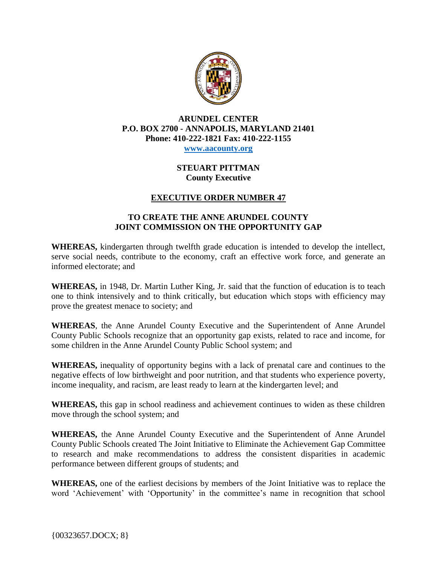

#### **ARUNDEL CENTER P.O. BOX 2700 - ANNAPOLIS, MARYLAND 21401 Phone: 410-222-1821 Fax: 410-222-1155 [www.aacounty.org](http://www.aacounty.org/)**

### **STEUART PITTMAN County Executive**

# **EXECUTIVE ORDER NUMBER 47**

## **TO CREATE THE ANNE ARUNDEL COUNTY JOINT COMMISSION ON THE OPPORTUNITY GAP**

**WHEREAS,** kindergarten through twelfth grade education is intended to develop the intellect, serve social needs, contribute to the economy, craft an effective work force, and generate an informed electorate; and

**WHEREAS,** in 1948, Dr. Martin Luther King, Jr. said that the function of education is to teach one to think intensively and to think critically, but education which stops with efficiency may prove the greatest menace to society; and

**WHEREAS**, the Anne Arundel County Executive and the Superintendent of Anne Arundel County Public Schools recognize that an opportunity gap exists, related to race and income, for some children in the Anne Arundel County Public School system; and

**WHEREAS,** inequality of opportunity begins with a lack of prenatal care and continues to the negative effects of low birthweight and poor nutrition, and that students who experience poverty, income inequality, and racism, are least ready to learn at the kindergarten level; and

**WHEREAS,** this gap in school readiness and achievement continues to widen as these children move through the school system; and

**WHEREAS,** the Anne Arundel County Executive and the Superintendent of Anne Arundel County Public Schools created The Joint Initiative to Eliminate the Achievement Gap Committee to research and make recommendations to address the consistent disparities in academic performance between different groups of students; and

**WHEREAS,** one of the earliest decisions by members of the Joint Initiative was to replace the word 'Achievement' with 'Opportunity' in the committee's name in recognition that school

{00323657.DOCX; 8}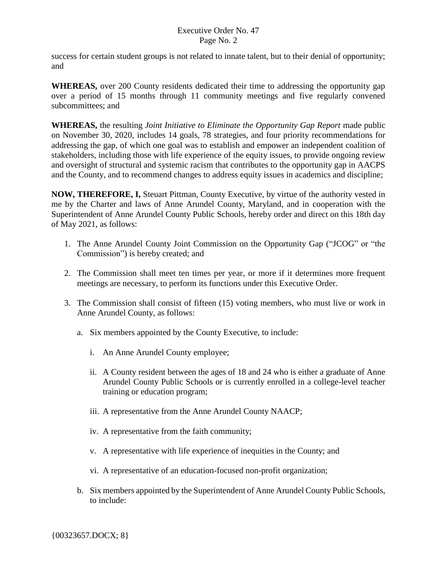# Executive Order No. 47 Page No. 2

success for certain student groups is not related to innate talent, but to their denial of opportunity; and

**WHEREAS,** over 200 County residents dedicated their time to addressing the opportunity gap over a period of 15 months through 11 community meetings and five regularly convened subcommittees; and

**WHEREAS,** the resulting *Joint Initiative to Eliminate the Opportunity Gap Report* made public on November 30, 2020, includes 14 goals, 78 strategies, and four priority recommendations for addressing the gap, of which one goal was to establish and empower an independent coalition of stakeholders, including those with life experience of the equity issues, to provide ongoing review and oversight of structural and systemic racism that contributes to the opportunity gap in AACPS and the County, and to recommend changes to address equity issues in academics and discipline;

**NOW, THEREFORE, I,** Steuart Pittman, County Executive, by virtue of the authority vested in me by the Charter and laws of Anne Arundel County, Maryland, and in cooperation with the Superintendent of Anne Arundel County Public Schools, hereby order and direct on this 18th day of May 2021, as follows:

- 1. The Anne Arundel County Joint Commission on the Opportunity Gap ("JCOG" or "the Commission") is hereby created; and
- 2. The Commission shall meet ten times per year, or more if it determines more frequent meetings are necessary, to perform its functions under this Executive Order.
- 3. The Commission shall consist of fifteen (15) voting members, who must live or work in Anne Arundel County, as follows:
	- a. Six members appointed by the County Executive, to include:
		- i. An Anne Arundel County employee;
		- ii. A County resident between the ages of 18 and 24 who is either a graduate of Anne Arundel County Public Schools or is currently enrolled in a college-level teacher training or education program;
		- iii. A representative from the Anne Arundel County NAACP;
		- iv. A representative from the faith community;
		- v. A representative with life experience of inequities in the County; and
		- vi. A representative of an education-focused non-profit organization;
	- b. Six members appointed by the Superintendent of Anne Arundel County Public Schools, to include: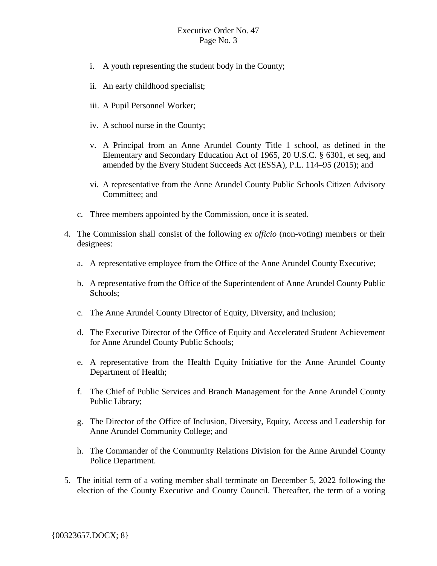## Executive Order No. 47 Page No. 3

- i. A youth representing the student body in the County;
- ii. An early childhood specialist;
- iii. A Pupil Personnel Worker;
- iv. A school nurse in the County;
- v. A Principal from an Anne Arundel County Title 1 school, as defined in the Elementary and Secondary Education Act of 1965, 20 U.S.C. § 6301, et seq, and amended by the Every Student Succeeds Act (ESSA), P.L. 114–95 (2015); and
- vi. A representative from the Anne Arundel County Public Schools Citizen Advisory Committee; and
- c. Three members appointed by the Commission, once it is seated.
- 4. The Commission shall consist of the following *ex officio* (non-voting) members or their designees:
	- a. A representative employee from the Office of the Anne Arundel County Executive;
	- b. A representative from the Office of the Superintendent of Anne Arundel County Public Schools;
	- c. The Anne Arundel County Director of Equity, Diversity, and Inclusion;
	- d. The Executive Director of the Office of Equity and Accelerated Student Achievement for Anne Arundel County Public Schools;
	- e. A representative from the Health Equity Initiative for the Anne Arundel County Department of Health;
	- f. The Chief of Public Services and Branch Management for the Anne Arundel County Public Library;
	- g. The Director of the Office of Inclusion, Diversity, Equity, Access and Leadership for Anne Arundel Community College; and
	- h. The Commander of the Community Relations Division for the Anne Arundel County Police Department.
- 5. The initial term of a voting member shall terminate on December 5, 2022 following the election of the County Executive and County Council. Thereafter, the term of a voting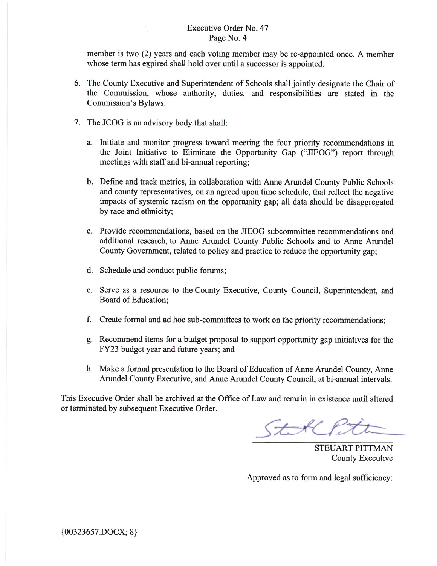#### Executive Order No. 47 Page No. 4

member is two (2) years and each voting member may be re-appointed once. A member whose term has expired shall hold over until a successor is appointed.

- 6. The County Executive and Superintendent of Schools shall jointly designate the Chair of the Commission, whose authority, duties, and responsibilities are stated in the Commission's Bylaws.
- 7. The JCOG is an advisory body that shall:
	- a. Initiate and monitor progress toward meeting the four priority recommendations in the Joint Initiative to Eliminate the Opportunity Gap ("JIEOG") report through meetings with staff and bi-annual reporting;
	- b. Define and track metrics, in collaboration with Anne Arundel County Public Schools and county representatives, on an agreed upon time schedule, that reflect the negative impacts of systemic racism on the opportunity gap; all data should be disaggregated by race and ethnicity;
	- c. Provide recommendations, based on the JIEOG subcommittee recommendations and additional research, to Anne Arundel County Public Schools and to Anne Arundel County Government, related to policy and practice to reduce the opportunity gap;
	- d. Schedule and conduct public forums;
	- e. Serve as a resource to the County Executive, County Council, Superintendent, and Board of Education:
	- f. Create formal and ad hoc sub-committees to work on the priority recommendations;
	- g. Recommend items for a budget proposal to support opportunity gap initiatives for the FY23 budget year and future years; and
	- h. Make a formal presentation to the Board of Education of Anne Arundel County, Anne Arundel County Executive, and Anne Arundel County Council, at bi-annual intervals.

This Executive Order shall be archived at the Office of Law and remain in existence until altered or terminated by subsequent Executive Order.

Stoll

**STEUART PITTMAN County Executive** 

Approved as to form and legal sufficiency: